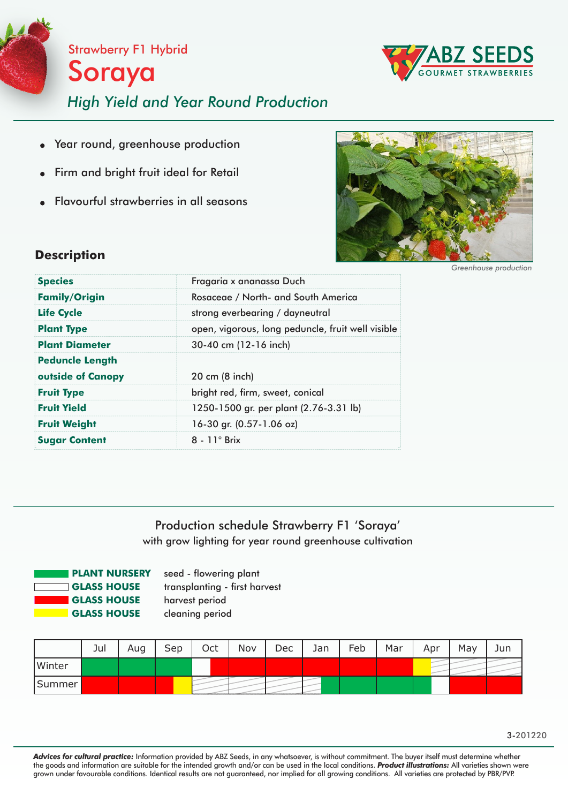



# *High Yield and Year Round Production*

- Year round, greenhouse production  $\bullet$
- Firm and bright fruit ideal for Retail
- Flavourful strawberries in all seasons



### **Description**

| <b>Species</b><br>Fragaria x ananassa Duch<br><b>Family/Origin</b><br>Rosaceae / North- and South America<br><b>Life Cycle</b><br>strong everbearing / dayneutral<br><b>Plant Type</b><br><b>Plant Diameter</b><br>30-40 cm (12-16 inch)<br><b>Peduncle Length</b><br>outside of Canopy<br>20 cm (8 inch)<br>bright red, firm, sweet, conical<br><b>Fruit Type</b><br><b>Fruit Yield</b><br>1250-1500 gr. per plant (2.76-3.31 lb)<br>16-30 gr. (0.57-1.06 oz)<br><b>Fruit Weight</b><br>$8 - 11^\circ$ Brix<br><b>Sugar Content</b> |                                                   |  |  |  |
|--------------------------------------------------------------------------------------------------------------------------------------------------------------------------------------------------------------------------------------------------------------------------------------------------------------------------------------------------------------------------------------------------------------------------------------------------------------------------------------------------------------------------------------|---------------------------------------------------|--|--|--|
|                                                                                                                                                                                                                                                                                                                                                                                                                                                                                                                                      |                                                   |  |  |  |
|                                                                                                                                                                                                                                                                                                                                                                                                                                                                                                                                      |                                                   |  |  |  |
|                                                                                                                                                                                                                                                                                                                                                                                                                                                                                                                                      |                                                   |  |  |  |
|                                                                                                                                                                                                                                                                                                                                                                                                                                                                                                                                      | open, vigorous, long peduncle, fruit well visible |  |  |  |
|                                                                                                                                                                                                                                                                                                                                                                                                                                                                                                                                      |                                                   |  |  |  |
|                                                                                                                                                                                                                                                                                                                                                                                                                                                                                                                                      |                                                   |  |  |  |
|                                                                                                                                                                                                                                                                                                                                                                                                                                                                                                                                      |                                                   |  |  |  |
|                                                                                                                                                                                                                                                                                                                                                                                                                                                                                                                                      |                                                   |  |  |  |
|                                                                                                                                                                                                                                                                                                                                                                                                                                                                                                                                      |                                                   |  |  |  |
|                                                                                                                                                                                                                                                                                                                                                                                                                                                                                                                                      |                                                   |  |  |  |
|                                                                                                                                                                                                                                                                                                                                                                                                                                                                                                                                      |                                                   |  |  |  |

*Greenhouse production*

## Production schedule Strawberry F1 'Soraya' with grow lighting for year round greenhouse cultivation



seed - flowering plant transplanting - first harvest harvest period cleaning period

|        | Jul | Aug | Sep | Oct | Nov | Dec | Jan | Feb | Mar | Apr | May | Jun |
|--------|-----|-----|-----|-----|-----|-----|-----|-----|-----|-----|-----|-----|
| Winter |     |     |     |     |     |     |     |     |     |     |     |     |
| Summer |     |     |     |     |     |     |     |     |     |     |     |     |

*Advices for cultural practice:* Information provided by ABZ Seeds, in any whatsoever, is without commitment. The buyer itself must determine whether the goods and information are suitable for the intended growth and/or can be used in the local conditions. *Product illustrations:* All varieties shown were grown under favourable conditions. Identical results are not guaranteed, nor implied for all growing conditions. All varieties are protected by PBR/PVP.